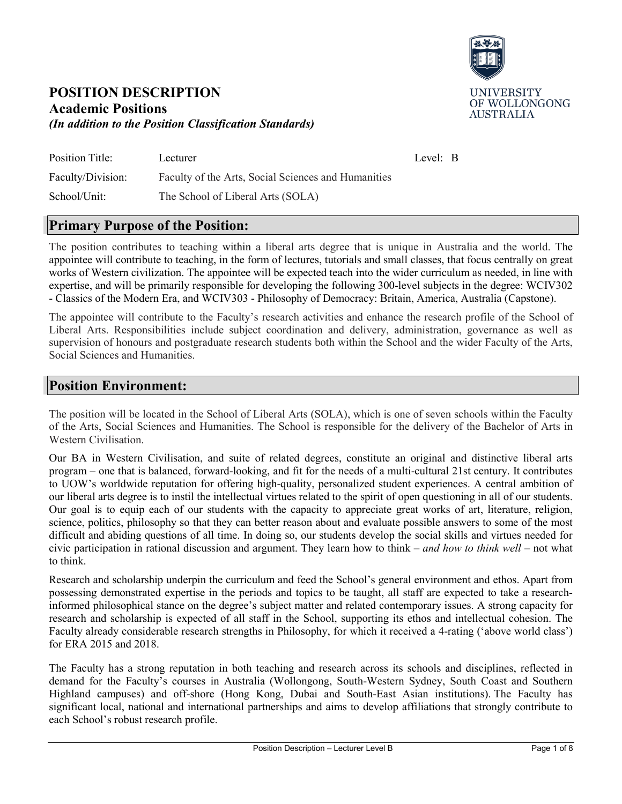

### **POSITION DESCRIPTION Academic Positions**  *(In addition to the Position Classification Standards)*

| Position Title:   | Lecturer                                            | Level: B |  |
|-------------------|-----------------------------------------------------|----------|--|
| Faculty/Division: | Faculty of the Arts, Social Sciences and Humanities |          |  |
| School/Unit:      | The School of Liberal Arts (SOLA)                   |          |  |

### **Primary Purpose of the Position:**

The position contributes to teaching within a liberal arts degree that is unique in Australia and the world. The appointee will contribute to teaching, in the form of lectures, tutorials and small classes, that focus centrally on great works of Western civilization. The appointee will be expected teach into the wider curriculum as needed, in line with expertise, and will be primarily responsible for developing the following 300-level subjects in the degree: WCIV302 - Classics of the Modern Era, and WCIV303 - Philosophy of Democracy: Britain, America, Australia (Capstone).

The appointee will contribute to the Faculty's research activities and enhance the research profile of the School of Liberal Arts. Responsibilities include subject coordination and delivery, administration, governance as well as supervision of honours and postgraduate research students both within the School and the wider Faculty of the Arts, Social Sciences and Humanities.

### **Position Environment:**

The position will be located in the School of Liberal Arts (SOLA), which is one of seven schools within the Faculty of the Arts, Social Sciences and Humanities. The School is responsible for the delivery of the Bachelor of Arts in Western Civilisation.

Our BA in Western Civilisation, and suite of related degrees, constitute an original and distinctive liberal arts program – one that is balanced, forward-looking, and fit for the needs of a multi-cultural 21st century. It contributes to UOW's worldwide reputation for offering high-quality, personalized student experiences. A central ambition of our liberal arts degree is to instil the intellectual virtues related to the spirit of open questioning in all of our students. Our goal is to equip each of our students with the capacity to appreciate great works of art, literature, religion, science, politics, philosophy so that they can better reason about and evaluate possible answers to some of the most difficult and abiding questions of all time. In doing so, our students develop the social skills and virtues needed for civic participation in rational discussion and argument. They learn how to think – *and how to think well* – not what to think.

Research and scholarship underpin the curriculum and feed the School's general environment and ethos. Apart from possessing demonstrated expertise in the periods and topics to be taught, all staff are expected to take a researchinformed philosophical stance on the degree's subject matter and related contemporary issues. A strong capacity for research and scholarship is expected of all staff in the School, supporting its ethos and intellectual cohesion. The Faculty already considerable research strengths in Philosophy, for which it received a 4-rating ('above world class') for ERA 2015 and 2018.

The Faculty has a strong reputation in both teaching and research across its schools and disciplines, reflected in demand for the Faculty's courses in Australia (Wollongong, South-Western Sydney, South Coast and Southern Highland campuses) and off-shore (Hong Kong, Dubai and South-East Asian institutions). The Faculty has significant local, national and international partnerships and aims to develop affiliations that strongly contribute to each School's robust research profile.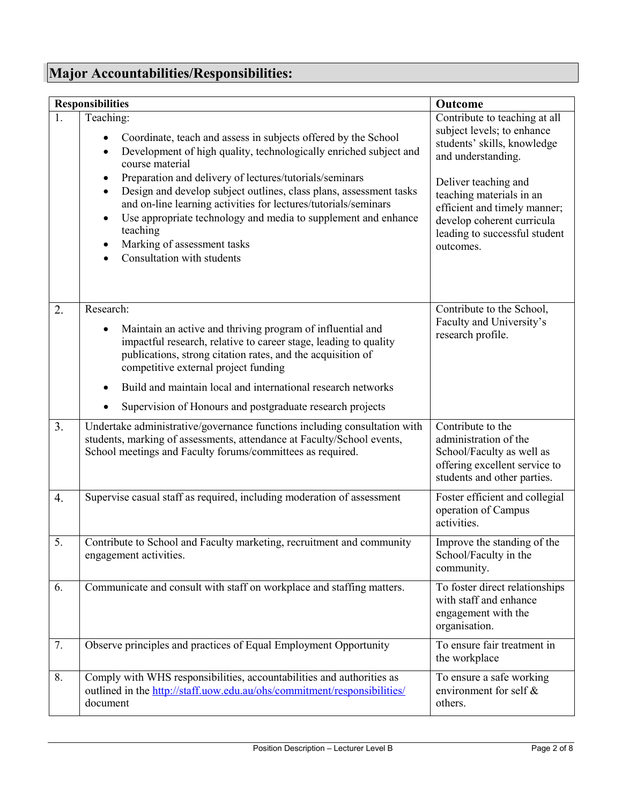# **Major Accountabilities/Responsibilities:**

| <b>Responsibilities</b> |                                                                                                                                                                                                                                                                                                                                      | Outcome                                                                                                                                  |
|-------------------------|--------------------------------------------------------------------------------------------------------------------------------------------------------------------------------------------------------------------------------------------------------------------------------------------------------------------------------------|------------------------------------------------------------------------------------------------------------------------------------------|
| 1.                      | Teaching:<br>Coordinate, teach and assess in subjects offered by the School<br>Development of high quality, technologically enriched subject and<br>$\bullet$<br>course material<br>Preparation and delivery of lectures/tutorials/seminars<br>٠                                                                                     | Contribute to teaching at all<br>subject levels; to enhance<br>students' skills, knowledge<br>and understanding.<br>Deliver teaching and |
|                         | Design and develop subject outlines, class plans, assessment tasks<br>$\bullet$<br>and on-line learning activities for lectures/tutorials/seminars<br>Use appropriate technology and media to supplement and enhance<br>$\bullet$<br>teaching<br>Marking of assessment tasks<br>$\bullet$<br>Consultation with students<br>$\bullet$ | teaching materials in an<br>efficient and timely manner;<br>develop coherent curricula<br>leading to successful student<br>outcomes.     |
| 2.                      | Research:<br>Maintain an active and thriving program of influential and<br>٠<br>impactful research, relative to career stage, leading to quality<br>publications, strong citation rates, and the acquisition of<br>competitive external project funding                                                                              | Contribute to the School,<br>Faculty and University's<br>research profile.                                                               |
|                         | Build and maintain local and international research networks<br>$\bullet$<br>Supervision of Honours and postgraduate research projects<br>$\bullet$                                                                                                                                                                                  |                                                                                                                                          |
| 3.                      | Undertake administrative/governance functions including consultation with<br>students, marking of assessments, attendance at Faculty/School events,<br>School meetings and Faculty forums/committees as required.                                                                                                                    | Contribute to the<br>administration of the<br>School/Faculty as well as<br>offering excellent service to<br>students and other parties.  |
| 4.                      | Supervise casual staff as required, including moderation of assessment                                                                                                                                                                                                                                                               | Foster efficient and collegial<br>operation of Campus<br>activities.                                                                     |
| 5.                      | Contribute to School and Faculty marketing, recruitment and community<br>engagement activities.                                                                                                                                                                                                                                      | Improve the standing of the<br>School/Faculty in the<br>community.                                                                       |
| 6.                      | Communicate and consult with staff on workplace and staffing matters.                                                                                                                                                                                                                                                                | To foster direct relationships<br>with staff and enhance<br>engagement with the<br>organisation.                                         |
| 7.                      | Observe principles and practices of Equal Employment Opportunity                                                                                                                                                                                                                                                                     | To ensure fair treatment in<br>the workplace                                                                                             |
| 8.                      | Comply with WHS responsibilities, accountabilities and authorities as<br>outlined in the http://staff.uow.edu.au/ohs/commitment/responsibilities/<br>document                                                                                                                                                                        | To ensure a safe working<br>environment for self &<br>others.                                                                            |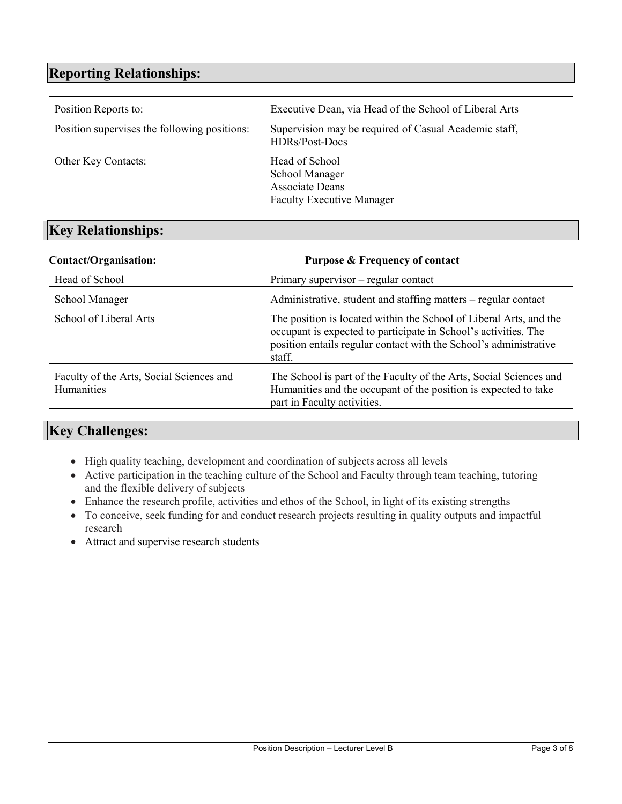# **Reporting Relationships:**

| Position Reports to:                         | Executive Dean, via Head of the School of Liberal Arts                                         |
|----------------------------------------------|------------------------------------------------------------------------------------------------|
| Position supervises the following positions: | Supervision may be required of Casual Academic staff,<br>HDRs/Post-Docs                        |
| Other Key Contacts:                          | Head of School<br><b>School Manager</b><br>Associate Deans<br><b>Faculty Executive Manager</b> |

# **Key Relationships:**

| <b>Contact/Organisation:</b>                                  | <b>Purpose &amp; Frequency of contact</b>                                                                                                                                                                            |
|---------------------------------------------------------------|----------------------------------------------------------------------------------------------------------------------------------------------------------------------------------------------------------------------|
| Head of School                                                | Primary supervisor - regular contact                                                                                                                                                                                 |
| <b>School Manager</b>                                         | Administrative, student and staffing matters – regular contact                                                                                                                                                       |
| School of Liberal Arts                                        | The position is located within the School of Liberal Arts, and the<br>occupant is expected to participate in School's activities. The<br>position entails regular contact with the School's administrative<br>staff. |
| Faculty of the Arts, Social Sciences and<br><b>Humanities</b> | The School is part of the Faculty of the Arts, Social Sciences and<br>Humanities and the occupant of the position is expected to take<br>part in Faculty activities.                                                 |

# **Key Challenges:**

- High quality teaching, development and coordination of subjects across all levels
- Active participation in the teaching culture of the School and Faculty through team teaching, tutoring and the flexible delivery of subjects
- Enhance the research profile, activities and ethos of the School, in light of its existing strengths
- To conceive, seek funding for and conduct research projects resulting in quality outputs and impactful research
- Attract and supervise research students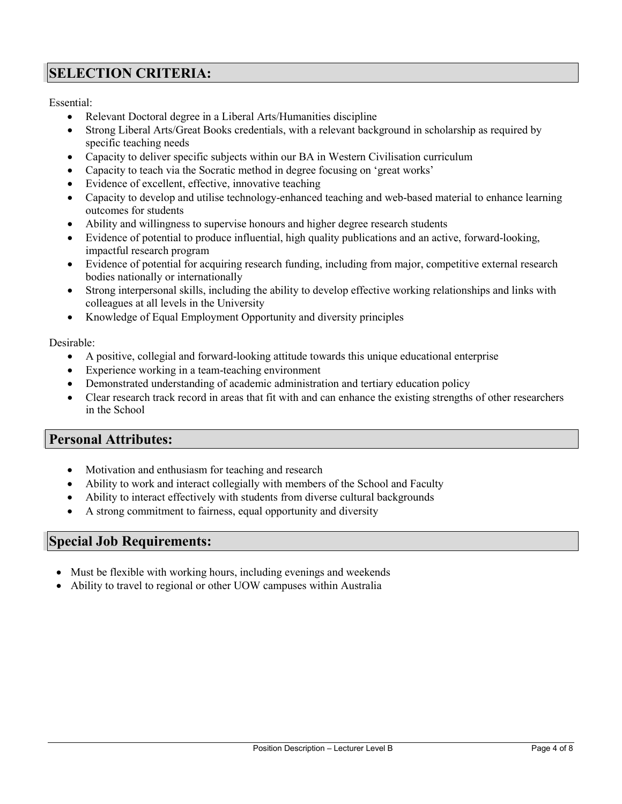# **SELECTION CRITERIA:**

Essential:

- Relevant Doctoral degree in a Liberal Arts/Humanities discipline
- Strong Liberal Arts/Great Books credentials, with a relevant background in scholarship as required by specific teaching needs
- Capacity to deliver specific subjects within our BA in Western Civilisation curriculum
- Capacity to teach via the Socratic method in degree focusing on 'great works'
- Evidence of excellent, effective, innovative teaching
- Capacity to develop and utilise technology-enhanced teaching and web-based material to enhance learning outcomes for students
- Ability and willingness to supervise honours and higher degree research students
- Evidence of potential to produce influential, high quality publications and an active, forward-looking, impactful research program
- Evidence of potential for acquiring research funding, including from major, competitive external research bodies nationally or internationally
- Strong interpersonal skills, including the ability to develop effective working relationships and links with colleagues at all levels in the University
- Knowledge of Equal Employment Opportunity and diversity principles

Desirable:

- A positive, collegial and forward-looking attitude towards this unique educational enterprise
- Experience working in a team-teaching environment
- Demonstrated understanding of academic administration and tertiary education policy
- Clear research track record in areas that fit with and can enhance the existing strengths of other researchers in the School

### **Personal Attributes:**

- Motivation and enthusiasm for teaching and research
- Ability to work and interact collegially with members of the School and Faculty
- Ability to interact effectively with students from diverse cultural backgrounds
- A strong commitment to fairness, equal opportunity and diversity

### **Special Job Requirements:**

- Must be flexible with working hours, including evenings and weekends
- Ability to travel to regional or other UOW campuses within Australia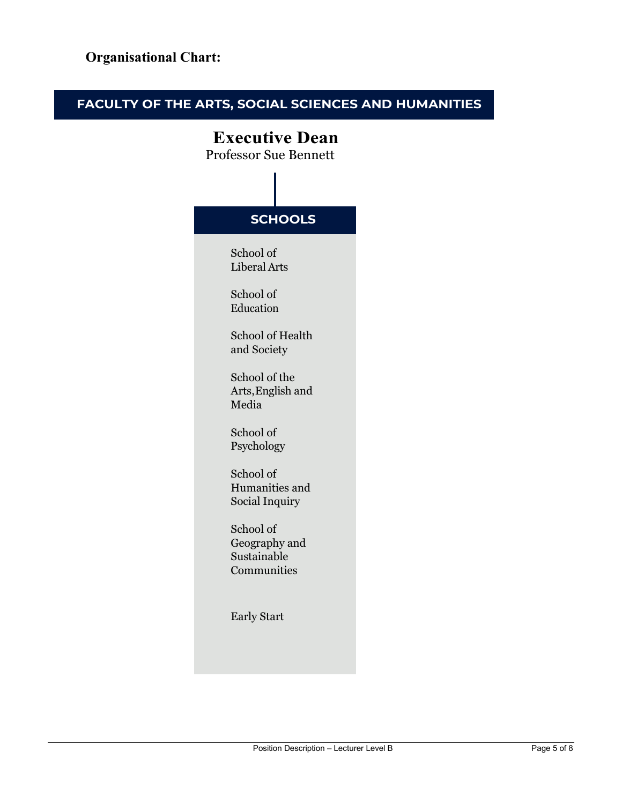# **FACULTY OF THE ARTS, SOCIAL SCIENCES AND HUMANITIES**

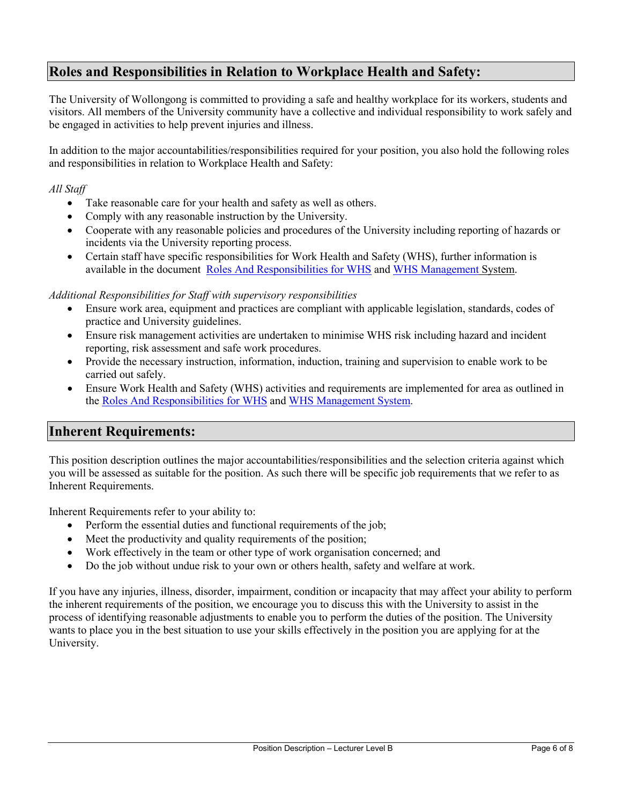# **Roles and Responsibilities in Relation to Workplace Health and Safety:**

The University of Wollongong is committed to providing a safe and healthy workplace for its workers, students and visitors. All members of the University community have a collective and individual responsibility to work safely and be engaged in activities to help prevent injuries and illness.

In addition to the major accountabilities/responsibilities required for your position, you also hold the following roles and responsibilities in relation to Workplace Health and Safety:

*All Staff*

- Take reasonable care for your health and safety as well as others.
- Comply with any reasonable instruction by the University.
- Cooperate with any reasonable policies and procedures of the University including reporting of hazards or incidents via the University reporting process.
- Certain staff have specific responsibilities for Work Health and Safety (WHS), further information is available in the document [Roles And Responsibilities for WHS](http://staff.uow.edu.au/content/groups/public/@web/@ohs/documents/doc/uow016892.pdf) and [WHS Management](http://staff.uow.edu.au/ohs/index.html) System.

#### *Additional Responsibilities for Staff with supervisory responsibilities*

- Ensure work area, equipment and practices are compliant with applicable legislation, standards, codes of practice and University guidelines.
- Ensure risk management activities are undertaken to minimise WHS risk including hazard and incident reporting, risk assessment and safe work procedures.
- Provide the necessary instruction, information, induction, training and supervision to enable work to be carried out safely.
- Ensure Work Health and Safety (WHS) activities and requirements are implemented for area as outlined in the [Roles And Responsibilities for WHS](http://staff.uow.edu.au/content/groups/public/@web/@ohs/documents/doc/uow016892.pdf) and [WHS Management](http://staff.uow.edu.au/ohs/index.html.) System.

### **Inherent Requirements:**

This position description outlines the major accountabilities/responsibilities and the selection criteria against which you will be assessed as suitable for the position. As such there will be specific job requirements that we refer to as Inherent Requirements.

Inherent Requirements refer to your ability to:

- Perform the essential duties and functional requirements of the job;
- Meet the productivity and quality requirements of the position;
- Work effectively in the team or other type of work organisation concerned; and
- Do the job without undue risk to your own or others health, safety and welfare at work.

If you have any injuries, illness, disorder, impairment, condition or incapacity that may affect your ability to perform the inherent requirements of the position, we encourage you to discuss this with the University to assist in the process of identifying reasonable adjustments to enable you to perform the duties of the position. The University wants to place you in the best situation to use your skills effectively in the position you are applying for at the University.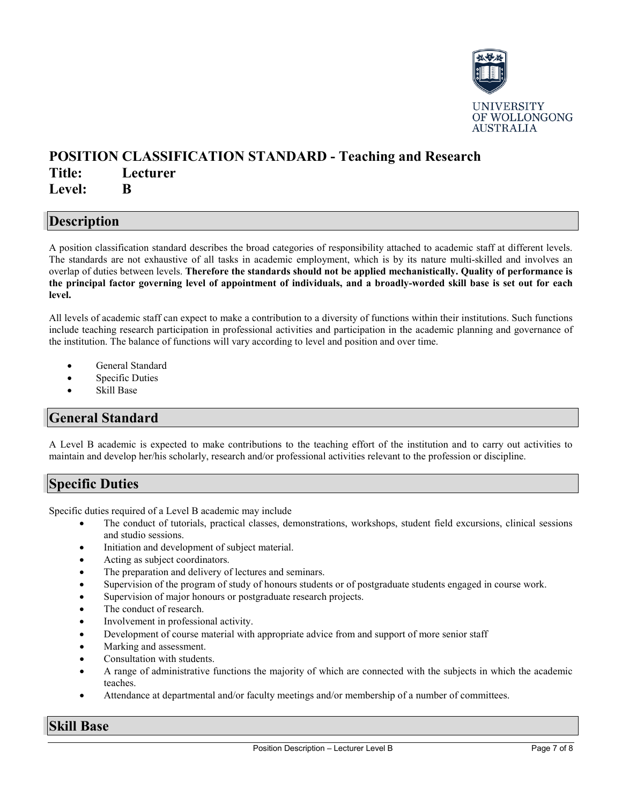

### **POSITION CLASSIFICATION STANDARD - Teaching and Research Title: Lecturer Level: B**

### **Description**

A position classification standard describes the broad categories of responsibility attached to academic staff at different levels. The standards are not exhaustive of all tasks in academic employment, which is by its nature multi-skilled and involves an overlap of duties between levels. **Therefore the standards should not be applied mechanistically. Quality of performance is the principal factor governing level of appointment of individuals, and a broadly-worded skill base is set out for each level.**

All levels of academic staff can expect to make a contribution to a diversity of functions within their institutions. Such functions include teaching research participation in professional activities and participation in the academic planning and governance of the institution. The balance of functions will vary according to level and position and over time.

- General Standard
- Specific Duties
- Skill Base

### **General Standard**

A Level B academic is expected to make contributions to the teaching effort of the institution and to carry out activities to maintain and develop her/his scholarly, research and/or professional activities relevant to the profession or discipline.

### **Specific Duties**

Specific duties required of a Level B academic may include

- The conduct of tutorials, practical classes, demonstrations, workshops, student field excursions, clinical sessions and studio sessions.
- Initiation and development of subject material.
- Acting as subject coordinators.
- The preparation and delivery of lectures and seminars.
- Supervision of the program of study of honours students or of postgraduate students engaged in course work.
- Supervision of major honours or postgraduate research projects.
- The conduct of research.
- Involvement in professional activity.
- Development of course material with appropriate advice from and support of more senior staff
- Marking and assessment.
- Consultation with students.
- A range of administrative functions the majority of which are connected with the subjects in which the academic teaches.
- Attendance at departmental and/or faculty meetings and/or membership of a number of committees.

### **Skill Base**